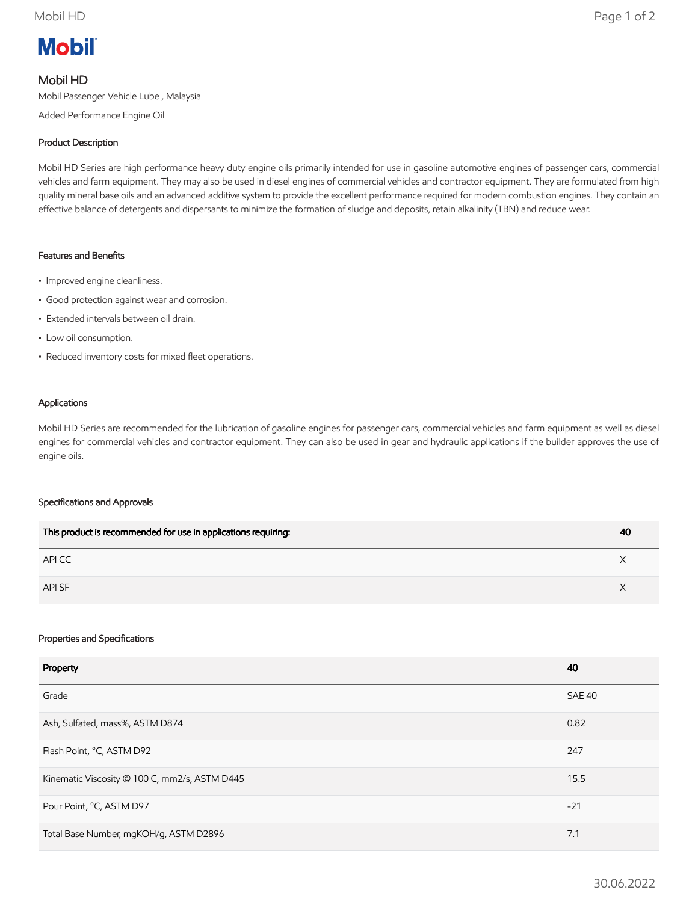# **Mobil**

# Mobil HD

Mobil Passenger Vehicle Lube , Malaysia

Added Performance Engine Oil

### Product Description

Mobil HD Series are high performance heavy duty engine oils primarily intended for use in gasoline automotive engines of passenger cars, commercial vehicles and farm equipment. They may also be used in diesel engines of commercial vehicles and contractor equipment. They are formulated from high quality mineral base oils and an advanced additive system to provide the excellent performance required for modern combustion engines. They contain an effective balance of detergents and dispersants to minimize the formation of sludge and deposits, retain alkalinity (TBN) and reduce wear.

#### Features and Benefits

- Improved engine cleanliness.
- Good protection against wear and corrosion.
- Extended intervals between oil drain.
- Low oil consumption.
- Reduced inventory costs for mixed fleet operations.

#### Applications

Mobil HD Series are recommended for the lubrication of gasoline engines for passenger cars, commercial vehicles and farm equipment as well as diesel engines for commercial vehicles and contractor equipment. They can also be used in gear and hydraulic applications if the builder approves the use of engine oils.

#### Specifications and Approvals

| This product is recommended for use in applications requiring: | 40 |
|----------------------------------------------------------------|----|
| API CC                                                         |    |
| API SF                                                         |    |

#### Properties and Specifications

| Property                                      | 40     |
|-----------------------------------------------|--------|
| Grade                                         | SAE 40 |
| Ash, Sulfated, mass%, ASTM D874               | 0.82   |
| Flash Point, °C, ASTM D92                     | 247    |
| Kinematic Viscosity @ 100 C, mm2/s, ASTM D445 | 15.5   |
| Pour Point, °C, ASTM D97                      | $-21$  |
| Total Base Number, mgKOH/g, ASTM D2896        | 7.1    |